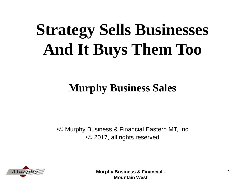# **Strategy Sells Businesses And It Buys Them Too**

#### **Murphy Business Sales**

•© Murphy Business & Financial Eastern MT, Inc •© 2017, all rights reserved

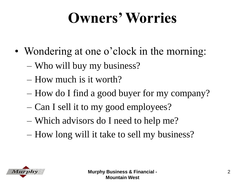#### **Owners' Worries**

- Wondering at one o'clock in the morning:
	- Who will buy my business?
	- How much is it worth?
	- How do I find a good buyer for my company?
	- Can I sell it to my good employees?
	- Which advisors do I need to help me?
	- How long will it take to sell my business?

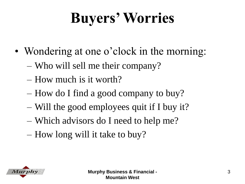### **Buyers' Worries**

- Wondering at one o'clock in the morning:
	- Who will sell me their company?
	- How much is it worth?
	- How do I find a good company to buy?
	- Will the good employees quit if I buy it?
	- Which advisors do I need to help me?
	- How long will it take to buy?

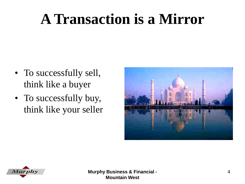#### **A Transaction is a Mirror**

- To successfully sell, think like a buyer
- To successfully buy, think like your seller



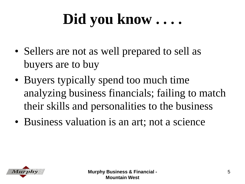#### **Did you know . . . .**

- Sellers are not as well prepared to sell as buyers are to buy
- Buyers typically spend too much time analyzing business financials; failing to match their skills and personalities to the business
- Business valuation is an art; not a science

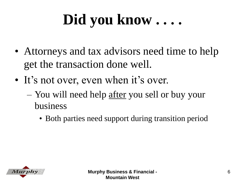#### **Did you know . . . .**

- Attorneys and tax advisors need time to help get the transaction done well.
- It's not over, even when it's over.
	- You will need help <u>after</u> you sell or buy your business
		- Both parties need support during transition period

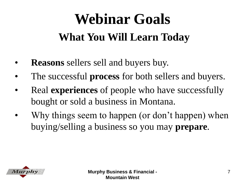#### **Webinar Goals What You Will Learn Today**

- **Reasons** sellers sell and buyers buy.
- The successful **process** for both sellers and buyers.
- Real **experiences** of people who have successfully bought or sold a business in Montana.
- Why things seem to happen (or don't happen) when buying/selling a business so you may **prepare**.

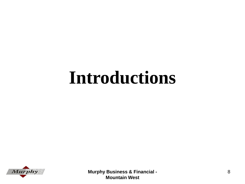## **Introductions**

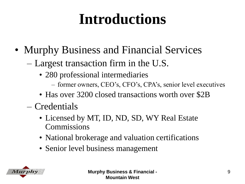#### **Introductions**

- Murphy Business and Financial Services
	- Largest transaction firm in the U.S.
		- 280 professional intermediaries
			- former owners, CEO's, CFO's, CPA's, senior level executives
		- Has over 3200 closed transactions worth over \$2B
	- Credentials
		- Licensed by MT, ID, ND, SD, WY Real Estate **Commissions**
		- National brokerage and valuation certifications
		- Senior level business management

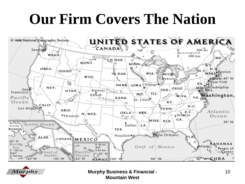#### **Our Firm Covers The Nation**



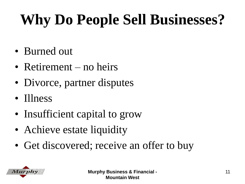### **Why Do People Sell Businesses?**

- Burned out
- Retirement no heirs
- Divorce, partner disputes
- Illness
- Insufficient capital to grow
- Achieve estate liquidity
- Get discovered; receive an offer to buy

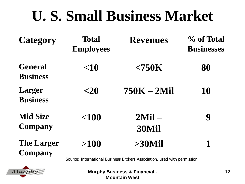#### **U. S. Small Business Market**

| <b>Category</b>                     | <b>Total</b><br><b>Employees</b> | <b>Revenues</b>      | % of Total<br><b>Businesses</b> |
|-------------------------------------|----------------------------------|----------------------|---------------------------------|
| <b>General</b><br><b>Business</b>   | < 10                             | $<$ 750 $K$          | 80                              |
| Larger<br><b>Business</b>           | $<$ 20                           | $750K - 2Mil$        | 10                              |
| <b>Mid Size</b><br><b>Company</b>   | $<$ 100                          | $2$ Mil $-$<br>30Mil | 9                               |
| <b>The Larger</b><br><b>Company</b> | >100                             | $>30$ Mil            |                                 |

Source: International Business Brokers Association, used with permission

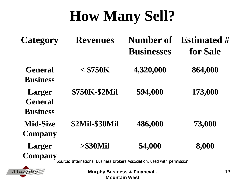#### **How Many Sell?**

| <b>Category</b>                             | <b>Revenues</b>                                                          | Number of<br><b>Businesses</b> | <b>Estimated #</b><br>for Sale |
|---------------------------------------------|--------------------------------------------------------------------------|--------------------------------|--------------------------------|
| <b>General</b><br><b>Business</b>           | $<$ \$750K                                                               | 4,320,000                      | 864,000                        |
| Larger<br><b>General</b><br><b>Business</b> | \$750K-\$2Mil                                                            | 594,000                        | 173,000                        |
| <b>Mid-Size</b><br><b>Company</b>           | <b>\$2Mil-\$30Mil</b>                                                    | 486,000                        | 73,000                         |
| <b>Larger</b><br>Company                    | $> $30$ Mil                                                              | 54,000                         | 8,000                          |
|                                             | Source: International Business Brokers Association, used with permission |                                |                                |

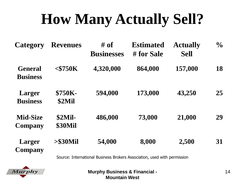#### **How Many Actually Sell?**

| <b>Category</b>                   | <b>Revenues</b>          | # of<br><b>Businesses</b>                                                | <b>Estimated</b><br># for Sale | <b>Actually</b><br><b>Sell</b> | $\frac{0}{0}$ |
|-----------------------------------|--------------------------|--------------------------------------------------------------------------|--------------------------------|--------------------------------|---------------|
| <b>General</b><br><b>Business</b> | $<$ \$750 $K$            | 4,320,000                                                                | 864,000                        | 157,000                        | 18            |
| Larger<br><b>Business</b>         | <b>\$750K-</b><br>\$2Mil | 594,000                                                                  | 173,000                        | 43,250                         | 25            |
| <b>Mid-Size</b><br><b>Company</b> | $$2$ Mil-<br>\$30Mil     | 486,000                                                                  | 73,000                         | 21,000                         | 29            |
| <b>Larger</b><br>Company          | $> $30$ Mil              | 54,000                                                                   | 8,000                          | 2,500                          | 31            |
|                                   |                          | Source: International Business Brokers Association, used with permission |                                |                                |               |

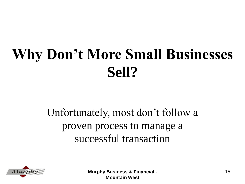#### **Why Don't More Small Businesses Sell?**

#### Unfortunately, most don't follow a proven process to manage a successful transaction

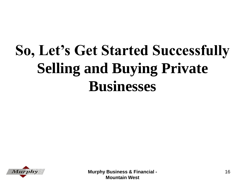#### **So, Let's Get Started Successfully Selling and Buying Private Businesses**

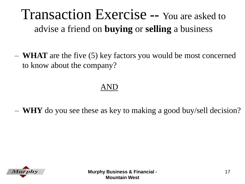#### Transaction Exercise **--** You are asked to advise a friend on **buying** or **selling** a business

– **WHAT** are the five (5) key factors you would be most concerned to know about the company?

#### AND

– **WHY** do you see these as key to making a good buy/sell decision?

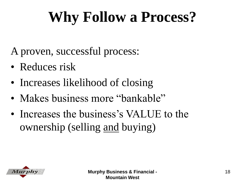#### **Why Follow a Process?**

A proven, successful process:

- Reduces risk
- Increases likelihood of closing
- Makes business more "bankable"
- Increases the business's VALUE to the ownership (selling and buying)

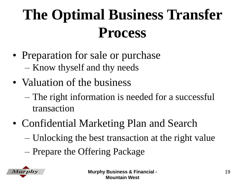#### **The Optimal Business Transfer Process**

- Preparation for sale or purchase – Know thyself and thy needs
- Valuation of the business
	- The right information is needed for a successful transaction
- Confidential Marketing Plan and Search
	- Unlocking the best transaction at the right value
	- Prepare the Offering Package

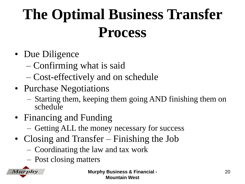#### **The Optimal Business Transfer Process**

- Due Diligence
	- Confirming what is said
	- Cost-effectively and on schedule
- Purchase Negotiations
	- Starting them, keeping them going AND finishing them on schedule
- Financing and Funding
	- Getting ALL the money necessary for success
- Closing and Transfer Finishing the Job
	- Coordinating the law and tax work
	- Post closing matters

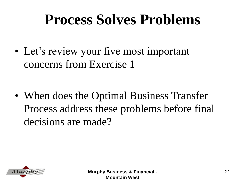#### **Process Solves Problems**

• Let's review your five most important concerns from Exercise 1

• When does the Optimal Business Transfer Process address these problems before final decisions are made?

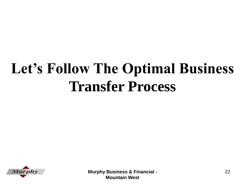#### **Let's Follow The Optimal Business Transfer Process**

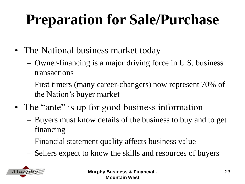#### **Preparation for Sale/Purchase**

- The National business market today
	- Owner-financing is a major driving force in U.S. business transactions
	- First timers (many career-changers) now represent 70% of the Nation's buyer market
- The "ante" is up for good business information
	- Buyers must know details of the business to buy and to get financing
	- Financial statement quality affects business value
	- Sellers expect to know the skills and resources of buyers

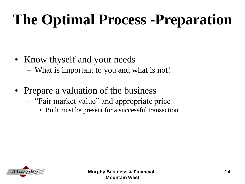#### **The Optimal Process -Preparation**

- Know thyself and your needs – What is important to you and what is not!
- Prepare a valuation of the business
	- "Fair market value" and appropriate price
		- Both must be present for a successful transaction

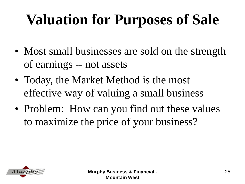#### **Valuation for Purposes of Sale**

- Most small businesses are sold on the strength of earnings -- not assets
- Today, the Market Method is the most effective way of valuing a small business
- Problem: How can you find out these values to maximize the price of your business?

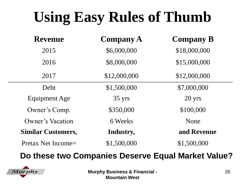#### **Using Easy Rules of Thumb**

| <b>Revenue</b>            | <b>Company A</b> | <b>Company B</b> |
|---------------------------|------------------|------------------|
| 2015                      | \$6,000,000      | \$18,000,000     |
| 2016                      | \$8,000,000      | \$15,000,000     |
| 2017                      | \$12,000,000     | \$12,000,000     |
| Debt                      | \$1,500,000      | \$7,000,000      |
| Equipment Age             | 35 yrs           | 20 yrs           |
| Owner's Comp.             | \$350,000        | \$100,000        |
| Owner's Vacation          | 6 Weeks          | None             |
| <b>Similar Customers,</b> | Industry,        | and Revenue      |
| Pretax Net Income=        | \$1,500,000      | \$1,500,000      |

#### **Do these two Companies Deserve Equal Market Value?**

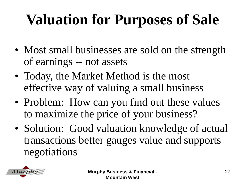#### **Valuation for Purposes of Sale**

- Most small businesses are sold on the strength of earnings -- not assets
- Today, the Market Method is the most effective way of valuing a small business
- Problem: How can you find out these values to maximize the price of your business?
- Solution: Good valuation knowledge of actual transactions better gauges value and supports negotiations

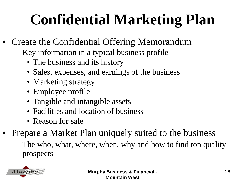#### **Confidential Marketing Plan**

- Create the Confidential Offering Memorandum
	- Key information in a typical business profile
		- The business and its history
		- Sales, expenses, and earnings of the business
		- Marketing strategy
		- Employee profile
		- Tangible and intangible assets
		- Facilities and location of business
		- Reason for sale
- Prepare a Market Plan uniquely suited to the business
	- The who, what, where, when, why and how to find top quality prospects

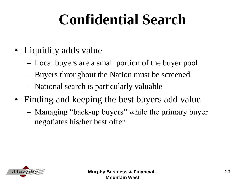#### **Confidential Search**

- Liquidity adds value
	- Local buyers are a small portion of the buyer pool
	- Buyers throughout the Nation must be screened
	- National search is particularly valuable
- Finding and keeping the best buyers add value
	- Managing "back-up buyers" while the primary buyer negotiates his/her best offer

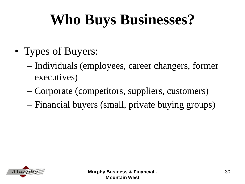#### **Who Buys Businesses?**

- Types of Buyers:
	- Individuals (employees, career changers, former executives)
	- Corporate (competitors, suppliers, customers)
	- Financial buyers (small, private buying groups)

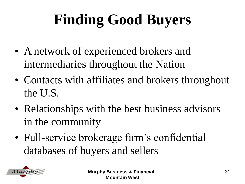#### **Finding Good Buyers**

- A network of experienced brokers and intermediaries throughout the Nation
- Contacts with affiliates and brokers throughout the U.S.
- Relationships with the best business advisors in the community
- Full-service brokerage firm's confidential databases of buyers and sellers

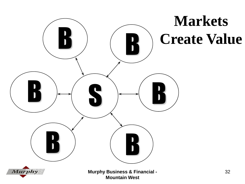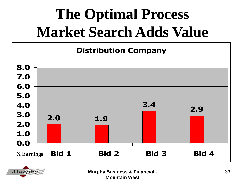#### **The Optimal Process Market Search Adds Value**





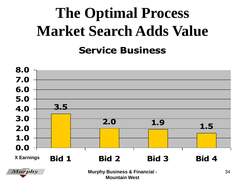#### **The Optimal Process Market Search Adds Value Service Business**



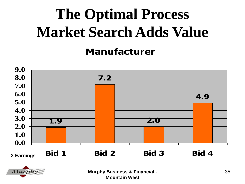## **The Optimal Process Market Search Adds Value**

#### **Manufacturer**



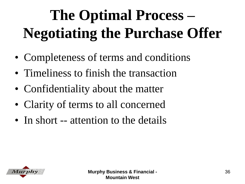## **The Optimal Process – Negotiating the Purchase Offer**

- Completeness of terms and conditions
- Timeliness to finish the transaction
- Confidentiality about the matter
- Clarity of terms to all concerned
- In short -- attention to the details

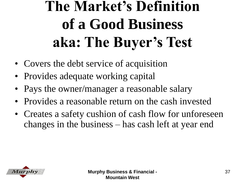#### **The Market's Definition of a Good Business aka: The Buyer's Test**

- Covers the debt service of acquisition
- Provides adequate working capital
- Pays the owner/manager a reasonable salary
- Provides a reasonable return on the cash invested
- Creates a safety cushion of cash flow for unforeseen changes in the business – has cash left at year end

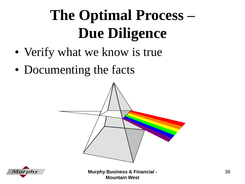### **The Optimal Process – Due Diligence**

- Verify what we know is true
- Documenting the facts



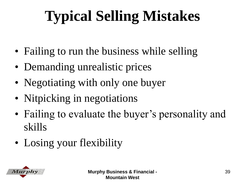## **Typical Selling Mistakes**

- Failing to run the business while selling
- Demanding unrealistic prices
- Negotiating with only one buyer
- Nitpicking in negotiations
- Failing to evaluate the buyer's personality and skills
- Losing your flexibility

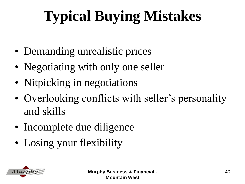## **Typical Buying Mistakes**

- Demanding unrealistic prices
- Negotiating with only one seller
- Nitpicking in negotiations
- Overlooking conflicts with seller's personality and skills
- Incomplete due diligence
- Losing your flexibility

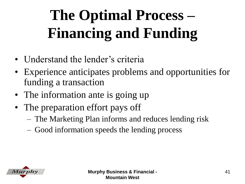## **The Optimal Process – Financing and Funding**

- Understand the lender's criteria
- Experience anticipates problems and opportunities for funding a transaction
- The information ante is going up
- The preparation effort pays off
	- The Marketing Plan informs and reduces lending risk
	- Good information speeds the lending process

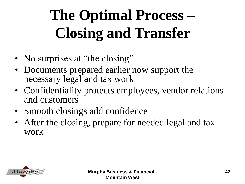## **The Optimal Process – Closing and Transfer**

- No surprises at "the closing"
- Documents prepared earlier now support the necessary legal and tax work
- Confidentiality protects employees, vendor relations and customers
- Smooth closings add confidence
- After the closing, prepare for needed legal and tax work

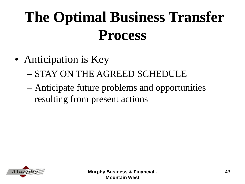#### **The Optimal Business Transfer Process**

- Anticipation is Key
	- STAY ON THE AGREED SCHEDULE
	- Anticipate future problems and opportunities resulting from present actions

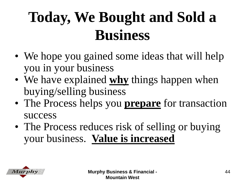#### **Today, We Bought and Sold a Business**

- We hope you gained some ideas that will help you in your business
- We have explained **why** things happen when buying/selling business
- The Process helps you **prepare** for transaction success
- The Process reduces risk of selling or buying your business. **Value is increased**